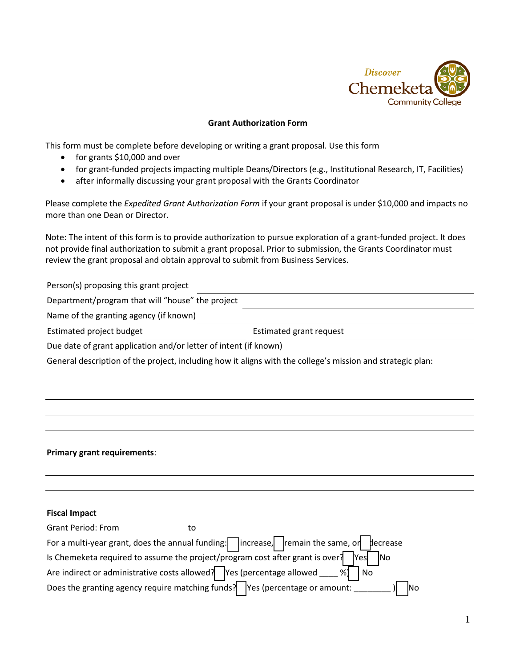

## **Grant Authorization Form**

This form must be complete before developing or writing a grant proposal. Use this form

- for grants \$10,000 and over
- for grant-funded projects impacting multiple Deans/Directors (e.g., Institutional Research, IT, Facilities)
- after informally discussing your grant proposal with the Grants Coordinator

Please complete the *Expedited Grant Authorization Form* if your grant proposal is under \$10,000 and impacts no more than one Dean or Director.

Note: The intent of this form is to provide authorization to pursue exploration of a grant-funded project. It does not provide final authorization to submit a grant proposal. Prior to submission, the Grants Coordinator must review the grant proposal and obtain approval to submit from Business Services.

Person(s) proposing this grant project

| Department/program that will "house" the project |  |
|--------------------------------------------------|--|
|--------------------------------------------------|--|

Estimated grant request

|  |  | Name of the granting agency (if known) |  |  |  |  |
|--|--|----------------------------------------|--|--|--|--|
|--|--|----------------------------------------|--|--|--|--|

| Estimated project budget |  |
|--------------------------|--|
|                          |  |

Due date of grant application and/or letter of intent (if known)

General description of the project, including how it aligns with the college's mission and strategic plan:

## **Primary grant requirements**:

**Fiscal Impact**

| <b>Grant Period: From</b>                                                                                                      | го |  |           |
|--------------------------------------------------------------------------------------------------------------------------------|----|--|-----------|
| For a multi-year grant, does the annual funding: $\Box$ increase, remain the same, or $\Box$ decrease                          |    |  |           |
| Is Chemeketa required to assume the project/program cost after grant is over? $\sqrt{1 + \frac{1}{\sqrt{1 + \frac{1}{n}}}}$ No |    |  |           |
| Are indirect or administrative costs allowed? Yes (percentage allowed ____ %)                                                  |    |  | No        |
| Does the granting agency require matching funds? Yes (percentage or amount:                                                    |    |  | <b>No</b> |